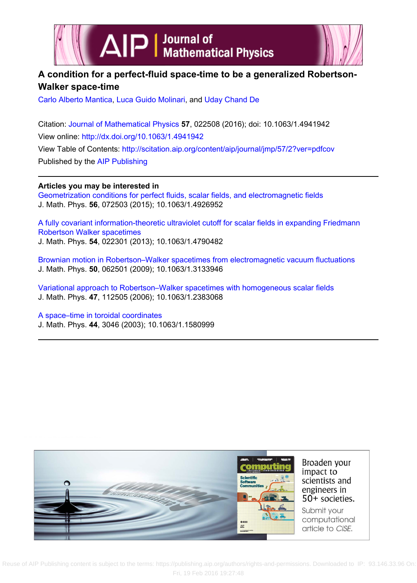

# **A condition for a perfect-fluid space-time to be a generalized Robertson-Walker space-time**

[Carlo Alberto Mantica,](http://scitation.aip.org/search?value1=Carlo+Alberto+Mantica&option1=author) [Luca Guido Molinari,](http://scitation.aip.org/search?value1=Luca+Guido+Molinari&option1=author) and [Uday Chand De](http://scitation.aip.org/search?value1=Uday+Chand+De&option1=author)

Citation: [Journal of Mathematical Physics](http://scitation.aip.org/content/aip/journal/jmp?ver=pdfcov) **57**, 022508 (2016); doi: 10.1063/1.4941942 View online:<http://dx.doi.org/10.1063/1.4941942> View Table of Contents:<http://scitation.aip.org/content/aip/journal/jmp/57/2?ver=pdfcov> Published by the [AIP Publishing](http://scitation.aip.org/content/aip?ver=pdfcov)

**Articles you may be interested in** [Geometrization conditions for perfect fluids, scalar fields, and electromagnetic fields](http://scitation.aip.org/content/aip/journal/jmp/56/7/10.1063/1.4926952?ver=pdfcov) J. Math. Phys. **56**, 072503 (2015); 10.1063/1.4926952

[A fully covariant information-theoretic ultraviolet cutoff for scalar fields in expanding Friedmann](http://scitation.aip.org/content/aip/journal/jmp/54/2/10.1063/1.4790482?ver=pdfcov) [Robertson Walker spacetimes](http://scitation.aip.org/content/aip/journal/jmp/54/2/10.1063/1.4790482?ver=pdfcov) J. Math. Phys. **54**, 022301 (2013); 10.1063/1.4790482

[Brownian motion in Robertson–Walker spacetimes from electromagnetic vacuum fluctuations](http://scitation.aip.org/content/aip/journal/jmp/50/6/10.1063/1.3133946?ver=pdfcov) J. Math. Phys. **50**, 062501 (2009); 10.1063/1.3133946

[Variational approach to Robertson–Walker spacetimes with homogeneous scalar fields](http://scitation.aip.org/content/aip/journal/jmp/47/11/10.1063/1.2383068?ver=pdfcov) J. Math. Phys. **47**, 112505 (2006); 10.1063/1.2383068

[A space–time in toroidal coordinates](http://scitation.aip.org/content/aip/journal/jmp/44/7/10.1063/1.1580999?ver=pdfcov) J. Math. Phys. **44**, 3046 (2003); 10.1063/1.1580999



 Reuse [of AIP Publishing content is subject to the terms: https://publishing.aip.org/authors/rights-and-permissions. Downloaded to IP: 93.1](http://oasc12039.247realmedia.com/RealMedia/ads/click_lx.ads/www.aip.org/pt/adcenter/pdfcover_test/L-37/1267737661/x01/AIP-PT/CiSE_JMPArticleDL_021716/CiSE_Ripple_1640x440.jpg/434f71374e315a556e61414141774c75?x)46.33.96 On: Fri, 19 Feb 2016 19:27:48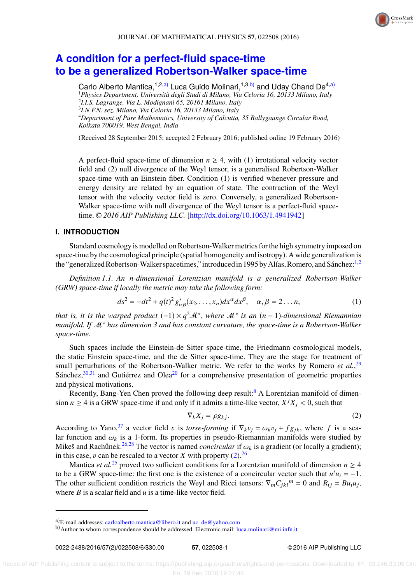## **[A condition for a perfect-fluid space-time](http://dx.doi.org/10.1063/1.4941942) [to be a generalized Robertson-Walker space-time](http://dx.doi.org/10.1063/1.4941942)**

Carlo Alberto Mantica,<sup>1,2[,a\)](#page-1-0)</sup> Luca Guido Molinari,<sup>1,3[,b\)](#page-1-1)</sup> and Uday Chand De<sup>4,a)</sup> *Physics Department, Università degli Studi di Milano, Via Celoria 16, 20133 Milano, Italy I.I.S. Lagrange, Via L. Modignani 65, 20161 Milano, Italy I.N.F.N. sez. Milano, Via Celoria 16, 20133 Milano, Italy Department of Pure Mathematics, University of Calcutta, 35 Ballygaunge Circular Road, Kolkata 700019, West Bengal, India*

(Received 28 September 2015; accepted 2 February 2016; published online 19 February 2016)

A perfect-fluid space-time of dimension  $n \geq 4$ , with (1) irrotational velocity vector field and (2) null divergence of the Weyl tensor, is a generalised Robertson-Walker space-time with an Einstein fiber. Condition (1) is verified whenever pressure and energy density are related by an equation of state. The contraction of the Weyl tensor with the velocity vector field is zero. Conversely, a generalized Robertson-Walker space-time with null divergence of the Weyl tensor is a perfect-fluid spacetime. <sup>C</sup> *2016 AIP Publishing LLC.* [\[http:](http://dx.doi.org/10.1063/1.4941942)//[dx.doi.org](http://dx.doi.org/10.1063/1.4941942)/[10.1063](http://dx.doi.org/10.1063/1.4941942)/[1.4941942\]](http://dx.doi.org/10.1063/1.4941942)

### **I. INTRODUCTION**

Standard cosmology is modelled on Robertson-Walker metrics for the high symmetry imposed on space-time by the cosmological principle (spatial homogeneity and isotropy). A wide generalization is the "generalized Robertson-Walker spacetimes," introduced in 1995 by Alías, Romero, and Sánchez:<sup>[1,](#page-5-0)[2](#page-5-1)</sup>

*Definition 1.1. An n-dimensional Lorentzian manifold is a generalized Robertson-Walker (GRW) space-time if locally the metric may take the following form:*

$$
ds^{2} = -dt^{2} + q(t)^{2} g_{\alpha\beta}^{*}(x_{2},...,x_{n}) dx^{\alpha} dx^{\beta}, \quad \alpha, \beta = 2...n,
$$
 (1)

*that is, it is the warped product* (−1) × *q* <sup>2</sup>M<sup>∗</sup> *, where* M<sup>∗</sup> *is an* (*n* − 1)*-dimensional Riemannian manifold. If* M<sup>∗</sup> *has dimension 3 and has constant curvature, the space-time is a Robertson-Walker space-time.*

Such spaces include the Einstein-de Sitter space-time, the Friedmann cosmological models, the static Einstein space-time, and the de Sitter space-time. They are the stage for treatment of small perturbations of the Robertson-Walker metric. We refer to the works by Romero *et al.*<sup>[29](#page-6-0)</sup> Sánchez,  $30,31$  $30,31$  and Gutiérrez and Olea<sup>[20](#page-6-3)</sup> for a comprehensive presentation of geometric properties and physical motivations.

Recently, Bang-Yen Chen proved the following deep result:<sup>[8](#page-6-4)</sup> A Lorentzian manifold of dimension *n*  $\ge$  4 is a GRW space-time if and only if it admits a time-like vector,  $X^{j}X_{j}$  < 0, such that

<span id="page-1-3"></span><span id="page-1-2"></span>
$$
\nabla_k X_j = \rho g_{kj}.\tag{2}
$$

According to Yano,<sup>[37](#page-6-5)</sup> a vector field v is *torse-forming* if  $\nabla_k v_j = \omega_k v_j + fg_{jk}$ , where *f* is a sca-<br>lar function and  $\omega_k$  is a 1-form. Its properties in pseudo-Riemannian manifolds were studied by lar function and  $\omega_k$  is a 1-form. Its properties in pseudo-Riemannian manifolds were studied by Mikes and Rachůnek.<sup>[26,](#page-6-6)[28](#page-6-7)</sup> The vector is named *concircular* if  $\omega_k$  is a gradient (or locally a gradient);<br>in this case, u can be rescaled to a vector Y with property (2) <sup>26</sup> in this case, v can be rescaled to a vector *X* with property [\(2\).](#page-1-2)<sup>[26](#page-6-6)</sup><br>Mantica et al.<sup>25</sup> proved two sufficient conditions for a Lor

Mantica *et al.*<sup>[25](#page-6-8)</sup> proved two sufficient conditions for a Lorentzian manifold of dimension  $n \geq 4$ to be a GRW space-time: the first one is the existence of a concircular vector such that  $u^i u_i = -1$ . The other sufficient condition restricts the Weyl and Ricci tensors:  $\nabla_m C_{jk} l^m = 0$  and  $R_{ij} = B u_i u_j$ , where *B* is a scalar field and *u* is a time-like vector field.

<span id="page-1-0"></span>a)E-mail addresses: [carloalberto.mantica@libero.it](mailto:carloalberto.mantica@libero.it) and [uc\\_de@yahoo.com](mailto:uc_de@yahoo.com)

<span id="page-1-1"></span>b) Author to whom correspondence should be addressed. Electronic mail: [luca.molinari@mi.infn.it](mailto:luca.molinari@mi.infn.it)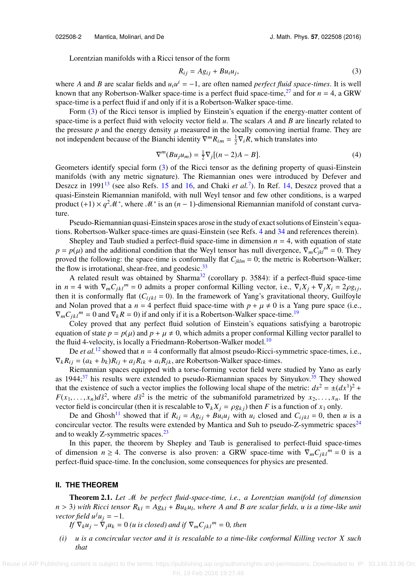Lorentzian manifolds with a Ricci tensor of the form

<span id="page-2-1"></span><span id="page-2-0"></span>
$$
R_{ij} = Ag_{ij} + Bu_i u_j,\tag{3}
$$

where *A* and *B* are scalar fields and  $u_i u^i = -1$ , are often named *perfect fluid space-times*. It is well known that any Robertson-Walker space-time is a perfect fluid space-time,<sup>[27](#page-6-9)</sup> and for  $n = 4$ , a GRW space-time is a perfect fluid if and only if it is a Robertson-Walker space-time.

Form  $(3)$  of the Ricci tensor is implied by Einstein's equation if the energy-matter content of space-time is a perfect fluid with velocity vector field *u*. The scalars *A* and *B* are linearly related to the pressure  $p$  and the energy density  $\mu$  measured in the locally comoving inertial frame. They are not independent because of the Bianchi identity  $\nabla^m R_{im} = \frac{1}{2} \nabla_i R$ , which translates into

$$
\nabla^{m}(Bu_{j}u_{m}) = \frac{1}{2}\nabla_{j}[(n-2)A - B].
$$
 (4)

Geometers identify special form [\(3\)](#page-2-0) of the Ricci tensor as the defining property of quasi-Einstein manifolds (with any metric signature). The Riemannian ones were introduced by Defever and Deszcz in 1991<sup>[13](#page-6-10)</sup> (see also Refs. [15](#page-6-11) and [16,](#page-6-12) and Chaki *et al.*<sup>[7](#page-6-13)</sup>). In Ref. [14,](#page-6-14) Deszcz proved that a quasi-Einstein Riemannian manifold, with null Weyl tensor and few other conditions, is a warped product  $(+1) \times q^2 \mathcal{M}^*$ , where  $\mathcal{M}^*$  is an  $(n-1)$ -dimensional Riemannian manifold of constant curvature.

Pseudo-Riemannian quasi-Einstein spaces arose in the study of exact solutions of Einstein's equations. Robertson-Walker space-times are quasi-Einstein (see Refs. [4](#page-6-15) and [34](#page-6-16) and references therein).

Shepley and Taub studied a perfect-fluid space-time in dimension  $n = 4$ , with equation of state  $p = p(\mu)$  and the additional condition that the Weyl tensor has null divergence,  $\nabla_m \overline{C_{jk}} l^m = 0$ . They proved the following: the space-time is conformally flat  $C_{\text{max}} = 0$ ; the metric is Robertson-Walker: proved the following: the space-time is conformally flat  $C_{jklm} = 0$ ; the metric is Robertson-Walker; the flow is irrotational, shear-free, and geodesic. $33$ 

A related result was obtained by Sharma<sup>[32](#page-6-18)</sup> (corollary p. 3584): if a perfect-fluid space-time in *n* = 4 with  $\nabla_m C_{jkl}^m = 0$  admits a proper conformal Killing vector, i.e.,  $\nabla_i X_j + \nabla_j X_i = 2\rho g_{ij}$ ,<br>then it is conformally flat  $(C_{i,j} - 0)$ . In the framework of Yang's gravitational theory Guilfoyle then it is conformally flat  $(C_{i j k l} = 0)$ . In the framework of Yang's gravitational theory, Guilfoyle and Nolan proved that a  $n = 4$  perfect fluid space-time with  $p + \mu \neq 0$  is a Yang pure space (i.e.,  $\nabla_m C_{jkl}^{\ \ m} = 0$  and  $\nabla_k R = 0$ ) if and only if it is a Robertson-Walker space-time.<sup>[19](#page-6-19)</sup>

Coley proved that any perfect fluid solution of Einstein's equations satisfying a barotropic equation of state  $p = p(\mu)$  and  $p + \mu \neq 0$ , which admits a proper conformal Killing vector parallel to the fluid 4-velocity, is locally a Friedmann-Robertson-Walker model.<sup>[10](#page-6-20)</sup>

De *et al.*<sup>[12](#page-6-21)</sup> showed that  $n = 4$  conformally flat almost pseudo-Ricci-symmetric space-times, i.e.,  $\nabla_k R_{ij} = (a_k + b_k)R_{ij} + a_jR_{ik} + a_iR_{jk}$ , are Robertson-Walker space-times.

Riemannian spaces equipped with a torse-forming vector field were studied by Yano as early as  $1944;^{37}$  $1944;^{37}$  $1944;^{37}$  his results were extended to pseudo-Riemannian spaces by Sinyukov.<sup>[35](#page-6-22)</sup> They showed that the existence of such a vector implies the following local shape of the metric:  $ds^2 = \pm (dx^1)^2 +$  $F(x_1, \ldots, x_n) d\tilde{s}^2$ , where  $d\tilde{s}^2$  is the metric of the submanifold parametrized by  $x_2, \ldots, x_n$ . If the vector field is concircular (then it is rescalable to  $\nabla \cdot X = \partial g$ ) then *F* is a function of *x*, only vector field is concircular (then it is rescalable to  $\nabla_k X_j = \rho g_{kj}$ ) then *F* is a function of  $x_1$  only.

De and Ghosh<sup>[11](#page-6-23)</sup> showed that if  $R_{ij} = Ag_{ij} + Bu_iu_j$  with  $u_i$  closed and  $C_{ijkl} = 0$ , then *u* is a concircular vector. The results were extended by Mantica and Suh to pseudo-Z-symmetric spaces<sup>[24](#page-6-24)</sup> and to weakly Z-symmetric spaces.<sup>[23](#page-6-25)</sup>

In this paper, the theorem by Shepley and Taub is generalised to perfect-fluid space-times of dimension  $n \geq 4$ . The converse is also proven: a GRW space-time with  $\nabla_m C_{jk} l^m = 0$  is a perfect-fluid space-time. In the conclusion, some consequences for physics are presented.

#### <span id="page-2-2"></span>**II. THE THEOREM**

Theorem 2.1. *Let* M *be perfect fluid-space-time, i.e., a Lorentzian manifold (of dimension n* > 3) with Ricci tensor  $R_{kl} = A g_{kl} + B u_k u_l$ , where A and B are scalar fields, u is a time-like unit vector field  $u^j u_j - 1$ *vector field*  $u^j u_j = -1$ .

*If*  $\nabla_k u_j - \nabla_j u_k = 0$  *(u is closed) and if*  $\nabla_m C_{jkl}^{\qquad m} = 0$ *, then* 

*(i) u is a concircular vector and it is rescalable to a time-like conformal Killing vector X such that*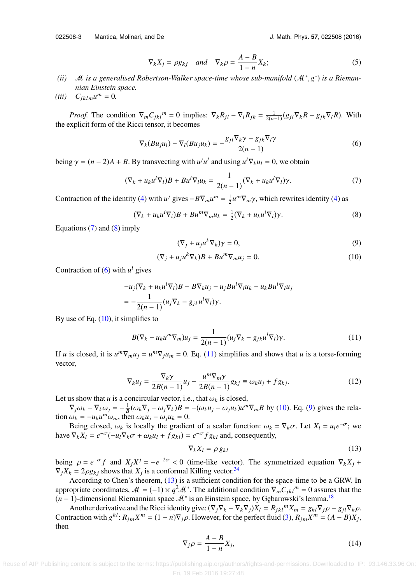022508-3 Mantica, Molinari, and De J. Math. Phys. **57**, 022508 (2016)

<span id="page-3-2"></span><span id="page-3-0"></span>

$$
\nabla_k X_j = \rho g_{kj} \quad \text{and} \quad \nabla_k \rho = \frac{A - B}{1 - n} X_k; \tag{5}
$$

- (*ii*) *M is a generalised Robertson-Walker space-time whose sub-manifold* ( $M^*$ , $g^*$ ) *is a Rieman-*<br> *nian Einstein space nian Einstein space.*
- $(iii)$   $C_{jklm}u^m = 0.$

*Proof.* The condition  $\nabla_m C_{jk} l^m = 0$  implies:  $\nabla_k R_{jl} - \nabla_l R_{jk} = \frac{1}{2(n-1)} (g_{jl} \nabla_k R - g_{jk} \nabla_l R)$ . With explicit form of the Ricci tensor, it becomes the explicit form of the Ricci tensor, it becomes

$$
\nabla_k (Bu_j u_l) - \nabla_l (Bu_j u_k) = -\frac{g_{jl} \nabla_k \gamma - g_{jk} \nabla_l \gamma}{2(n-1)}
$$
(6)

being  $\gamma = (n-2)A + B$ . By transvecting with  $u^j u^l$  and using  $u^l \nabla_k u_l = 0$ , we obtain

$$
(\nabla_k + u_k u^l \nabla_l) B + B u^l \nabla_l u_k = \frac{1}{2(n-1)} (\nabla_k + u_k u^l \nabla_l) \gamma.
$$
 (7)

Contraction of the identity [\(4\)](#page-2-1) with  $u^j$  gives  $-B\nabla_m u^m = \frac{1}{2}u^m \nabla_m \gamma$ , which rewrites identity (4) as

$$
(\nabla_k + u_k u^i \nabla_i) B + B u^m \nabla_m u_k = \frac{1}{2} (\nabla_k + u_k u^i \nabla_i) \gamma.
$$
 (8)

Equations  $(7)$  and  $(8)$  imply

<span id="page-3-5"></span><span id="page-3-4"></span><span id="page-3-3"></span><span id="page-3-1"></span>
$$
(\nabla_j + u_j u^k \nabla_k) \gamma = 0,\t\t(9)
$$

$$
(\nabla_j + u_j u^k \nabla_k) B + B u^m \nabla_m u_j = 0.
$$
 (10)

Contraction of  $(6)$  with  $u^l$  gives

$$
-u_j(\nabla_k + u_k u^l \nabla_l)B - B \nabla_k u_j - u_j B u^l \nabla_l u_k - u_k B u^l \nabla_l u_j
$$
  
= 
$$
-\frac{1}{2(n-1)} (u_j \nabla_k - g_{jk} u^l \nabla_l) \gamma.
$$

By use of Eq.  $(10)$ , it simplifies to

$$
B(\nabla_k + u_k u^m \nabla_m) u_j = \frac{1}{2(n-1)} (u_j \nabla_k - g_{jk} u^l \nabla_l) \gamma.
$$
 (11)

If *u* is closed, it is  $u^m \nabla_m u_j = u^m \nabla_j u_m = 0$ . Eq. [\(11\)](#page-3-4) simplifies and shows that *u* is a torse-forming vector,

$$
\nabla_k u_j = \frac{\nabla_k \gamma}{2B(n-1)} u_j - \frac{u^m \nabla_m \gamma}{2B(n-1)} g_{kj} \equiv \omega_k u_j + f g_{kj}.
$$
 (12)

Let us show that  $u$  is a concircular vector, i.e., that  $\omega_k$  is closed,

 $\nabla_j \omega_k - \nabla_k \omega_j = -\frac{1}{B} (\omega_k \nabla_j - \omega_j \nabla_k) B = -(\omega_k u_j - \omega_j u_k) u^m \nabla_m B$  by [\(10\).](#page-3-3) Eq. [\(9\)](#page-3-5) gives the rela-<br> $\omega_k = -u_k u^m \omega_k$  then  $\omega_k u_k = 0$ tion  $\omega_k = -u_k u^m \omega_m$ , then  $\omega_k u_j - \omega_j u_k = 0$ .<br>Being closed  $\omega_k$  is locally the gradien

Being closed,  $\omega_k$  is locally the gradient of a scalar function:  $\omega_k = \nabla_k \sigma$ . Let  $X_l = u_l e^{-\sigma}$ ; we  $\nabla_x X_l = e^{-\sigma} (-u_i \nabla_x \sigma + \omega_l u_l + f \omega_l) = e^{-\sigma} f \omega_l$  and consequently have  $\nabla_k X_l = e^{-\sigma}(-u_l \nabla_k \sigma + \omega_k u_l + f g_{kl}) = e^{-\sigma} f g_{kl}$  and, consequently,

<span id="page-3-7"></span><span id="page-3-6"></span>
$$
\nabla_k X_l = \rho g_{kl} \tag{13}
$$

being  $\rho = e^{-\sigma} f$  and  $X_j X^j = -e^{-2\sigma} < 0$  (time-like vector). The symmetrized equation  $\nabla_k X_j + \nabla_k X_j - 2\rho g_k$ , shows that  $X_j$  is a conformal Killing vector  $34$  $\nabla_j X_k = 2\rho g_{kj}$  shows that  $X_j$  is a conformal Killing vector.<sup>[34](#page-6-16)</sup><br>According to Chen's theorem (13) is a sufficient condi

According to Chen's theorem, [\(13\)](#page-3-6) is a sufficient condition for the space-time to be a GRW. In appropriate coordinates,  $\mathcal{M} = (-1) \times q^2 \mathcal{M}^*$ . The additional condition  $\nabla_m C_{jk} l^m = 0$  assures that the (*n* − 1)-dimensional Riemannian space M<sup>\*</sup> is an Einstein space, by Gębarowski's lemma.<sup>[18](#page-6-26)</sup>

Another derivative and the Ricci identity give:  $(\nabla_j \nabla_k - \nabla_k \nabla_j)X_l = R_{jkl}{}^m X_m = g_{kl} \nabla_j \rho - g_{jl} \nabla_k \rho$ .<br>traction with  $g^{kl}$ ,  $R_i$ ,  $X^m = (1 - n)\nabla_k \rho$ . However, for the perfect fluid (3)  $R_i$ ,  $X^m = (4 - R)Y$ . Contraction with  $g^{kl}$ :  $R_{jm}X^m = (1 - n)\nabla_j \rho$ . However, for the perfect fluid [\(3\),](#page-2-0)  $R_{jm}X^m = (A - B)X_j$ , then

<span id="page-3-8"></span>
$$
\nabla_j \rho = \frac{A - B}{1 - n} X_j,\tag{14}
$$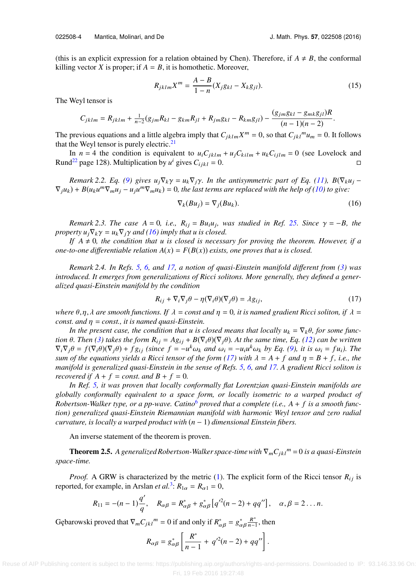(this is an explicit expression for a relation obtained by Chen). Therefore, if  $A \neq B$ , the conformal killing vector *X* is proper; if  $A = B$ , it is homothetic. Moreover,

$$
R_{jklm}X^{m} = \frac{A-B}{1-n}(X_{j}g_{kl} - X_{k}g_{jl}).
$$
\n(15)

The Weyl tensor is

$$
C_{jklm} = R_{jklm} + \frac{1}{n-2}(g_{jm}R_{kl} - g_{km}R_{jl} + R_{jm}g_{kl} - R_{km}g_{jl}) - \frac{(g_{jm}g_{kl} - g_{mk}g_{jl})R}{(n-1)(n-2)}.
$$

The previous equations and a little algebra imply that  $C_{jklm}X^m = 0$ , so that  $C_{jkl}^m u_m = 0$ . It follows that the Weyl tensor is purely electric.<sup>[21](#page-6-27)</sup>

In  $n = 4$  the condition is equivalent to  $u_i C_{jklm} + u_j C_{kilm} + u_k C_{ijlm} = 0$  (see Lovelock and Rund<sup>[22](#page-6-28)</sup> page 128). Multiplication by  $u^i$  gives  $C_{ijkl} = 0$ .

*Remark 2.2. Eq.* [\(9\)](#page-3-5) *gives*  $u_j \nabla_k \gamma = u_k \nabla_j \gamma$ *. In the antisymmetric part of Eq. [\(11\),](#page-3-4)*  $B(\nabla_k u_j - \gamma)$  $\nabla_j u_k$ ) +  $B(u_k u^m \nabla_m u_j - u_j u^m \nabla_m u_k) = 0$ , the last terms are replaced with the help of [\(10\)](#page-3-3) to give:

<span id="page-4-0"></span>
$$
\nabla_k (Bu_j) = \nabla_j (Bu_k). \tag{16}
$$

*Remark 2.3. The case A* = 0*, i.e.,*  $R_{ij} = Bu_iu_j$ , was studied in Ref. [25.](#page-6-8) Since  $\gamma = -B$ , the extra  $u \cdot \nabla \cdot \gamma = u \cdot \nabla \cdot \gamma$  and (16) imply that  $u$  is closed *property*  $u_i \nabla_k \gamma = u_k \nabla_i \gamma$  *and* [\(16\)](#page-4-0) *imply that u is closed.* 

*If*  $A \neq 0$ , the condition that u is closed is necessary for proving the theorem. However, if a *one-to-one differentiable relation*  $A(x) = F(B(x))$  *exists, one proves that u is closed.* 

*Remark 2.4. In Refs. [5,](#page-6-29) [6,](#page-6-30) and [17,](#page-6-31) a notion of quasi-Einstein manifold di*ff*erent from [\(3\)](#page-2-0) was introduced. It emerges from generalizations of Ricci solitons. More generally, they defined a generalized quasi-Einstein manifold by the condition*

<span id="page-4-1"></span>
$$
R_{ij} + \nabla_i \nabla_j \theta - \eta (\nabla_i \theta)(\nabla_j \theta) = \lambda g_{ij},\tag{17}
$$

*where*  $\theta$ , $\eta$ ,  $\lambda$  *are smooth functions. If*  $\lambda$  = *const and*  $\eta$  = 0, *it is named gradient Ricci soliton, if*  $\lambda$  = *const. and*  $\eta$  = *const., it is named quasi-Einstein.* 

*In the present case, the condition that u is closed means that locally*  $u_k = \nabla_k \theta$ *, for some function*  $\theta$ *. Then* [\(3\)](#page-2-0) *takes the form*  $R_{ij} = A g_{ij} + B(\nabla_i \theta)(\nabla_j \theta)$ *. At the same time, Eq.* [\(12\)](#page-3-7) *can be written*  $\nabla_i \nabla_j \theta = f(\nabla_i \theta)(\nabla_j \theta) + fg_{ij}$  (since  $f = -u^k \omega_k$  and  $\omega_i = -u_i u^k \omega_k$  by Eq. [\(9\),](#page-3-5) it is  $\omega_i = fu_i$ ). The sum of the equations vields a Bicci tensor of the form (17) with  $\lambda = \lambda + f$  and  $n = B + f$  i.e., the *sum of the equations yields a Ricci tensor of the form* [\(17\)](#page-4-1) with  $\lambda = A + f$  and  $\eta = B + f$ , i.e., the *manifold is generalized quasi-Einstein in the sense of Refs. [5,](#page-6-29) [6,](#page-6-30) and [17.](#page-6-31) A gradient Ricci soliton is recovered if*  $A + f = const.$  *and*  $B + f = 0$ *.* 

*In Ref. [5,](#page-6-29) it was proven that locally conformally flat Lorentzian quasi-Einstein manifolds are globally conformally equivalent to a space form, or locally isometric to a warped product of* Robertson-Walker type, or a pp-wave. Catino<sup>[6](#page-6-30)</sup> proved that a complete (i.e.,  $A + f$  is a smooth func*tion) generalized quasi-Einstein Riemannian manifold with harmonic Weyl tensor and zero radial curvature, is locally a warped product with* (*n* − 1) *dimensional Einstein fibers.*

An inverse statement of the theorem is proven.

**Theorem 2.5.** A generalized Robertson-Walker space-time with  $\nabla_m C_{jkl}^m = 0$  is a quasi-Einstein *space-time.*

*Proof.* A GRW is characterized by the metric [\(1\).](#page-1-3) The explicit form of the Ricci tensor  $R_{ij}$  is reported, for example, in Arslan *et al.*<sup>[3](#page-6-32)</sup>:  $R_{1\alpha} = R_{\alpha 1} = 0$ ,

$$
R_{11} = -(n-1)\frac{q'}{q}, \quad R_{\alpha\beta} = R_{\alpha\beta}^* + g_{\alpha\beta}^* [q'^2(n-2) + qq''], \quad \alpha, \beta = 2 \ldots n.
$$

Gebarowski proved that  $\nabla_m C_{jkl}^{\qquad m} = 0$  if and only if  $R^*_{\alpha\beta} = g^*_{\alpha\beta}$ R ∗  $\frac{R^x}{n-1}$ , then

$$
R_{\alpha\beta} = g_{\alpha\beta}^* \left[ \frac{R^*}{n-1} + q'^2 (n-2) + q q'' \right].
$$

αβ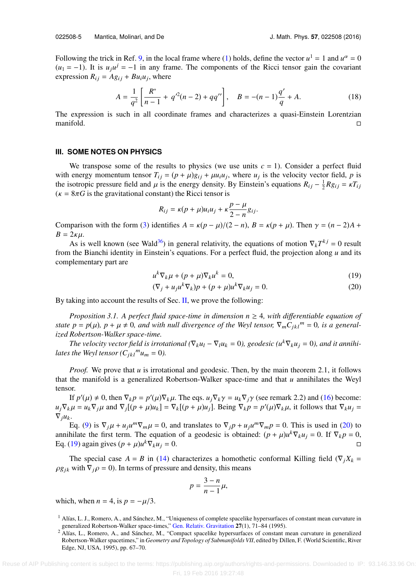Following the trick in Ref. [9,](#page-6-33) in the local frame where [\(1\)](#page-1-3) holds, define the vector  $u^1 = 1$  and  $u^{\alpha} = 0$  $(u_1 = -1)$ . It is  $u_j u^j = -1$  in any frame. The components of the Ricci tensor gain the covariant expression  $R_{ij} = Ag_{ij} + Bu_iu_j$ , where

$$
A = \frac{1}{q^2} \left[ \frac{R^*}{n-1} + q'^2(n-2) + qq'' \right], \quad B = -(n-1)\frac{q'}{q} + A.
$$
 (18)

The expression is such in all coordinate frames and characterizes a quasi-Einstein Lorentzian  $\Box$  manifold.  $\Box$ 

### **III. SOME NOTES ON PHYSICS**

We transpose some of the results to physics (we use units  $c = 1$ ). Consider a perfect fluid with energy momentum tensor  $T_{ij} = (p + \mu)g_{ij} + \mu u_i u_j$ , where  $u_j$  is the velocity vector field, *p* is the isotropic pressure field and *u* is the energy density. By Finstein's equations  $R_{ij} = \frac{1}{2}R u_{ij} - \nu T_{ij}$ the isotropic pressure field and  $\mu$  is the energy density. By Einstein's equations  $R_{ij} - \frac{1}{2}Rg_{ij} = \kappa T_{ij}$ <br> $(\kappa - 8\pi G)$  is the gravitational constant) the Ricci tensor is  $(\kappa = 8\pi G)$  is the gravitational constant) the Ricci tensor is

$$
R_{ij} = \kappa (p + \mu) u_i u_j + \kappa \frac{p - \mu}{2 - n} g_{ij}.
$$

Comparison with the form [\(3\)](#page-2-0) identifies  $A = \kappa (p - \mu)/(2 - n)$ ,  $B = \kappa (p + \mu)$ . Then  $\gamma = (n - 2)A + \mu$  $B = 2\kappa\mu$ .

As is well known (see Wald<sup>[36](#page-6-34)</sup>) in general relativity, the equations of motion  $\nabla_k T^{kj} = 0$  result from the Bianchi identity in Einstein's equations. For a perfect fluid, the projection along *u* and its complementary part are

<span id="page-5-3"></span><span id="page-5-2"></span>
$$
u^{k}\nabla_{k}\mu + (p+\mu)\nabla_{k}u^{k} = 0,
$$
\n(19)

$$
(\nabla_j + u_j u^k \nabla_k) p + (p + \mu) u^k \nabla_k u_j = 0.
$$
 (20)

By taking into account the results of Sec. [II,](#page-2-2) we prove the following:

*Proposition 3.1.* A perfect fluid space-time in dimension  $n \geq 4$ , with differentiable equation of *state p* = *p*( $\mu$ )*, p* +  $\mu \neq 0$ *, and with null divergence of the Weyl tensor,*  $\nabla_m C_{jk} l^m = 0$ *, is a generalized Robertson-Walker space-time.*

*The velocity vector field is irrotational*  $(\nabla_k u_l - \nabla_l u_k = 0)$ , geodesic ( $u^k \nabla_k u_i = 0$ ), and it annihi*lates the Weyl tensor*  $(C_{jkl}^m u_m = 0)$ .

*Proof.* We prove that *u* is irrotational and geodesic. Then, by the main theorem 2.1, it follows that the manifold is a generalized Robertson-Walker space-time and that  $u$  annihilates the Weyl tensor.

If  $p'(\mu) \neq 0$ , then  $\nabla_k p = p'(\mu)\nabla_k \mu$ . The eqs.  $u_j \nabla_k \gamma = u_k \nabla_j \gamma$  (see remark 2.2) and [\(16\)](#page-4-0) become:<br> $u = u_j \nabla_j u$  and  $\nabla_j [(\mu + \mu)u_j] - \nabla_j [(\mu + \mu)u_j]$ . Being  $\nabla_j \mu = p'(\mu) \nabla_j u_j$  it follows that  $\nabla_j u_j =$  $u_j \nabla_k \mu = u_k \nabla_j \mu$  and  $\nabla_j [(\rho + \mu)u_k] = \nabla_k [(\rho + \mu)u_j]$ . Being  $\nabla_k \rho = p'(\mu) \nabla_k \mu$ , it follows that  $\nabla_k u_j = \nabla_k u_j$  $\nabla_j u_k$ .

Eq. [\(9\)](#page-3-5) is  $\nabla_j \mu + u_j u^m \nabla_m \mu = 0$ , and translates to  $\nabla_j p + u_j u^m \nabla_m p = 0$ . This is used in [\(20\)](#page-5-2) to higher the first term. The equation of a geodesic is obtained:  $(n + u)u^k \nabla_k u = 0$ . If  $\nabla_k p = 0$ . annihilate the first term. The equation of a geodesic is obtained:  $(p + \mu)u^k \nabla_k u_j = 0$ . If  $\nabla_k p = 0$ ,  $E_q$  (19) again gives  $(p + \mu)u^k \nabla_k u_k = 0$ Eq. [\(19\)](#page-5-3) again gives (*p* + *μ*)*u*<sup>*k*</sup> $∇<sub>k</sub>u<sub>j</sub>$  = 0.

The special case  $A = B$  in [\(14\)](#page-3-8) characterizes a homothetic conformal Killing field ( $\nabla_j X_k =$  $\rho g_{ik}$  with  $\nabla_i \rho = 0$ ). In terms of pressure and density, this means

$$
p=\frac{3-n}{n-1}\mu,
$$

which, when  $n = 4$ , is  $p = -\mu/3$ .

<span id="page-5-0"></span><sup>1</sup> Alías, L. J., Romero, A., and Sánchez, M., "Uniqueness of complete spacelike hypersurfaces of constant mean curvature in generalized Robertson-Walker space-times," [Gen. Relativ. Gravitation](http://dx.doi.org/10.1007/BF02105675) 27(1), 71–84 (1995).

<span id="page-5-1"></span><sup>2</sup> Alías, L., Romero, A., and Sánchez, M., "Compact spacelike hypersurfaces of constant mean curvature in generalized Robertson-Walker spacetimes," in *Geometry and Topology of Submanifolds VII*, edited by Dillen, F. (World Scientific, River Edge, NJ, USA, 1995), pp. 67–70.